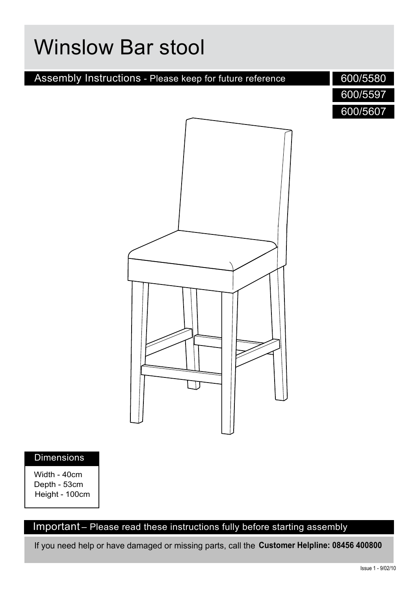# Assembly Instructions - Please keep for future reference Winslow Bar stool 600/5580 600/5597 600/5607

#### Dimensions

Width - 40cm Depth - 53cm Height - 100cm

#### Important – Please read these instructions fully before starting assembly

If you need help or have damaged or missing parts, call the **Customer Helpline: 08456 400800**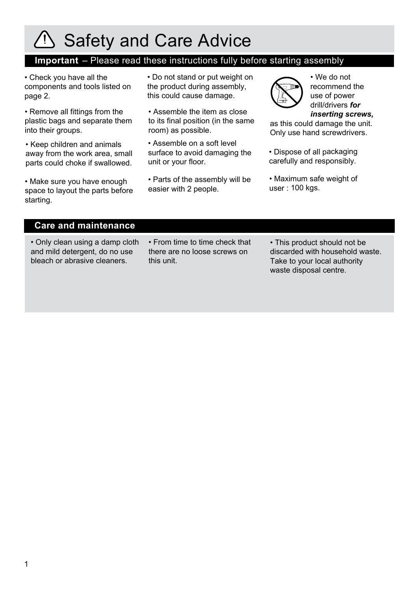## Safety and Care Advice

#### **Important** – Please read these instructions fully before starting assembly

• Check you have all the components and tools listed on page 2.

• Remove all fittings from the plastic bags and separate them into their groups.

• Keep children and animals away from the work area, small parts could choke if swallowed.

• Make sure you have enough space to layout the parts before starting.

• Do not stand or put weight on the product during assembly, this could cause damage.

• Assemble the item as close to its final position (in the same room) as possible.

• Assemble on a soft level surface to avoid damaging the unit or your floor.

• Parts of the assembly will be easier with 2 people.



• We do not recommend the use of power drill/drivers *for inserting screws,*

as this could damage the unit. Only use hand screwdrivers.

• Dispose of all packaging carefully and responsibly.

• Maximum safe weight of user : 100 kgs.

#### **Care and maintenance**

• Only clean using a damp cloth and mild detergent, do no use bleach or abrasive cleaners.

- From time to time check that there are no loose screws on this unit.
- This product should not be discarded with household waste. Take to your local authority waste disposal centre.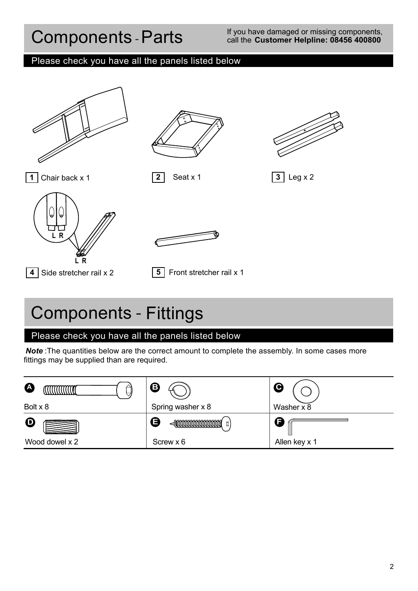## Components -Parts

#### If you have damaged or missing components, call the **Customer Helpline: 08456 400800**

#### Please check you have all the panels listed below







**1** Chair back x 1 **2** Seat x 1 **3** Leg x 2





**4** Side stretcher rail x 2 **5** Front stretcher rail x 1

## Components - Fittings

#### Please check you have all the panels listed below

**Note**: The quantities below are the correct amount to complete the assembly. In some cases more fittings may be supplied than are required.

| <b>A</b>       | B                                       | С             |
|----------------|-----------------------------------------|---------------|
| Bolt x 8       | Spring washer x 8                       | Washer x 8    |
| $\mathbf D$    | G<br><b>DODDDONNANNANNANNAL</b><br>ี นี |               |
| Wood dowel x 2 | Screw x 6                               | Allen key x 1 |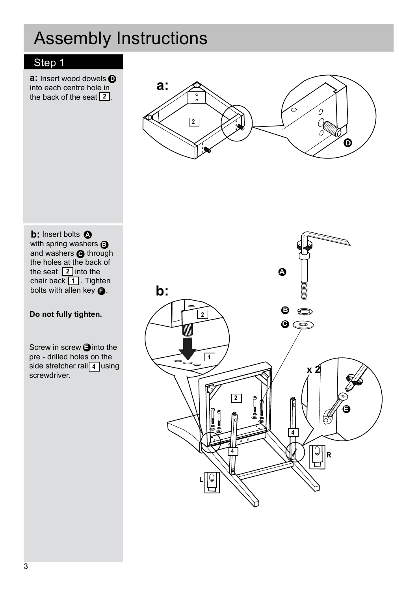## Assembly Instructions

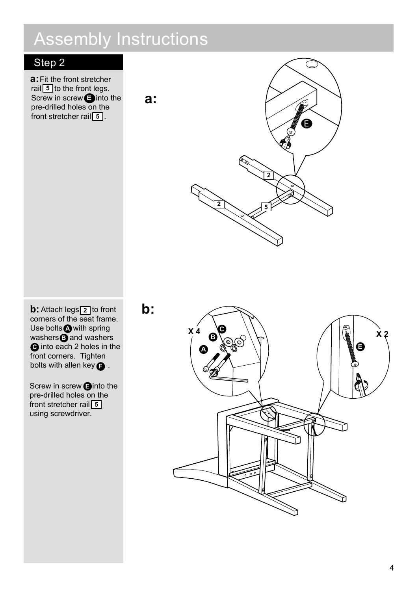## Assembly Instructions

**a:**

### Step 2

**a:** Fit the front stretcher rail 5 to the front legs. Screw in screw **E** into the pre-drilled holes on the front stretcher rail **5**.



 $\mathbf{b}$ : Attach legs $\boxed{2}$  to front corners of the seat frame. Use bolts **A** with spring washers and washers  $\bullet$  into each 2 holes in the front corners. Tighten bolts with allen key  $\bigodot$  .

**5** front stretcher rail Screw in screw **<b>E** into the pre-drilled holes on the using screwdriver.